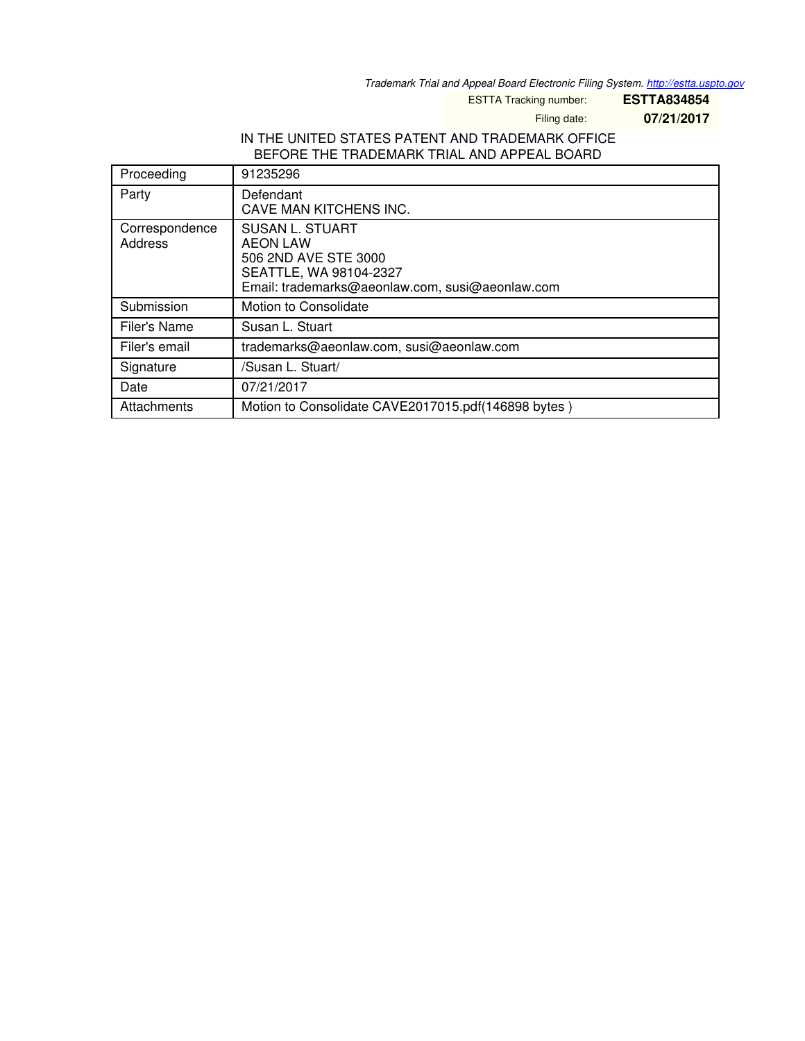*Trademark Trial and Appeal Board Electronic Filing System. <http://estta.uspto.gov>*

ESTTA Tracking number: **ESTTA834854**

Filing date: **07/21/2017**

## IN THE UNITED STATES PATENT AND TRADEMARK OFFICE BEFORE THE TRADEMARK TRIAL AND APPEAL BOARD

| Proceeding                | 91235296                                                                                                                                       |
|---------------------------|------------------------------------------------------------------------------------------------------------------------------------------------|
| Party                     | Defendant<br>CAVE MAN KITCHENS INC.                                                                                                            |
| Correspondence<br>Address | <b>SUSAN L. STUART</b><br><b>AEON LAW</b><br>506 2ND AVE STE 3000<br>SEATTLE, WA 98104-2327<br>Email: trademarks@aeonlaw.com, susi@aeonlaw.com |
| Submission                | Motion to Consolidate                                                                                                                          |
| Filer's Name              | Susan L. Stuart                                                                                                                                |
| Filer's email             | trademarks@aeonlaw.com, susi@aeonlaw.com                                                                                                       |
| Signature                 | /Susan L. Stuart/                                                                                                                              |
| Date                      | 07/21/2017                                                                                                                                     |
| Attachments               | Motion to Consolidate CAVE2017015.pdf(146898 bytes)                                                                                            |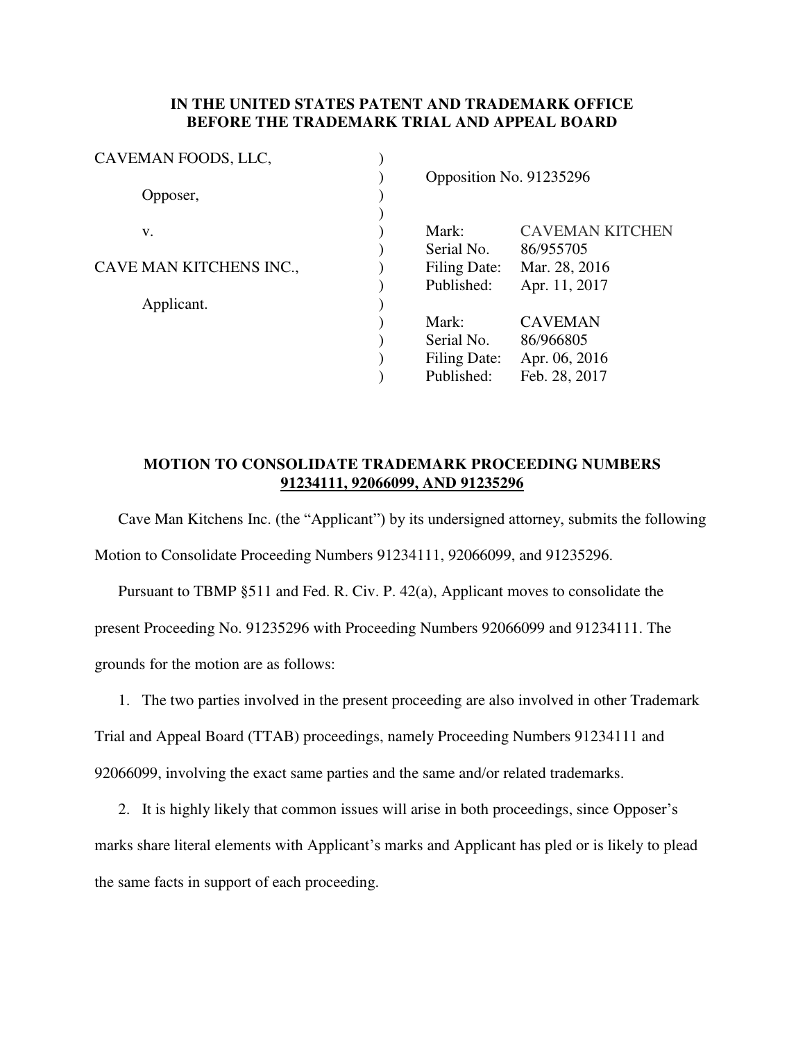## **IN THE UNITED STATES PATENT AND TRADEMARK OFFICE BEFORE THE TRADEMARK TRIAL AND APPEAL BOARD**

| CAVEMAN FOODS, LLC,     |                         |                        |  |
|-------------------------|-------------------------|------------------------|--|
|                         | Opposition No. 91235296 |                        |  |
| Opposer,                |                         |                        |  |
|                         |                         |                        |  |
| V.                      | Mark:                   | <b>CAVEMAN KITCHEN</b> |  |
|                         | Serial No.              | 86/955705              |  |
| CAVE MAN KITCHENS INC., | <b>Filing Date:</b>     | Mar. 28, 2016          |  |
|                         | Published:              | Apr. 11, 2017          |  |
| Applicant.              |                         |                        |  |
|                         | Mark:                   | <b>CAVEMAN</b>         |  |
|                         | Serial No.              | 86/966805              |  |
|                         | Filing Date:            | Apr. 06, 2016          |  |
|                         | Published:              | Feb. 28, 2017          |  |
|                         |                         |                        |  |

## **MOTION TO CONSOLIDATE TRADEMARK PROCEEDING NUMBERS 91234111, 92066099, AND 91235296**

Cave Man Kitchens Inc. (the "Applicant") by its undersigned attorney, submits the following Motion to Consolidate Proceeding Numbers 91234111, 92066099, and 91235296.

Pursuant to TBMP §511 and Fed. R. Civ. P. 42(a), Applicant moves to consolidate the present Proceeding No. 91235296 with Proceeding Numbers 92066099 and 91234111. The grounds for the motion are as follows:

1. The two parties involved in the present proceeding are also involved in other Trademark Trial and Appeal Board (TTAB) proceedings, namely Proceeding Numbers 91234111 and 92066099, involving the exact same parties and the same and/or related trademarks.

2. It is highly likely that common issues will arise in both proceedings, since Opposer's marks share literal elements with Applicant's marks and Applicant has pled or is likely to plead the same facts in support of each proceeding.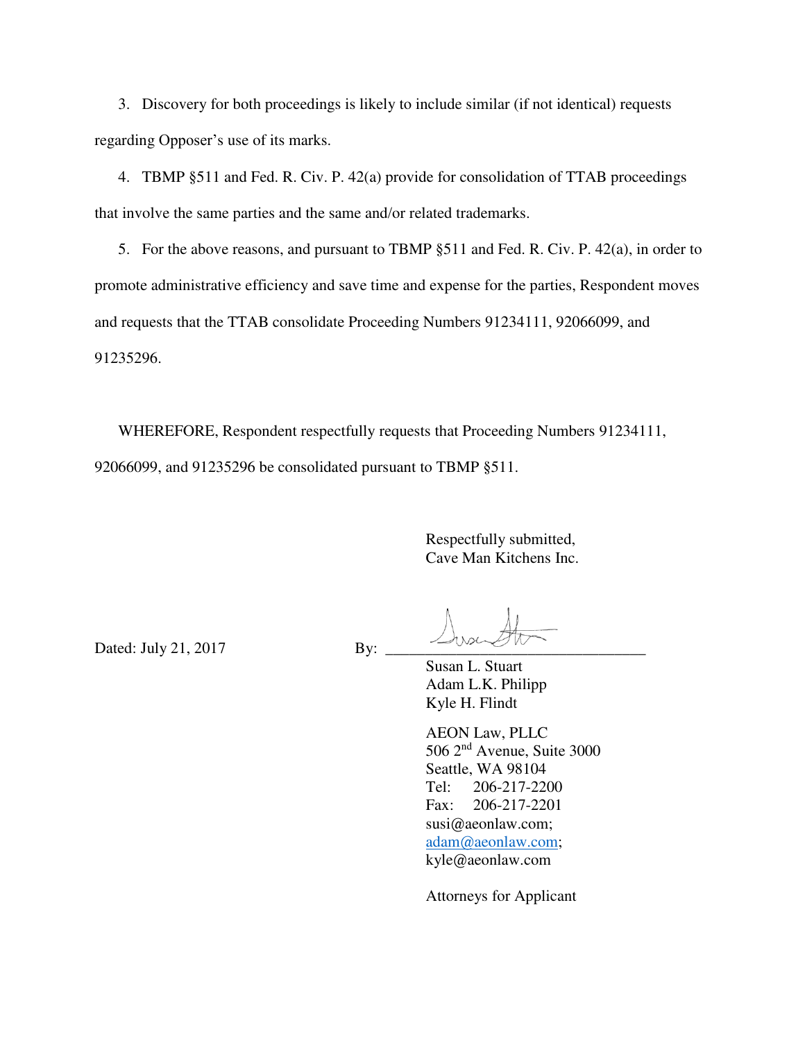3. Discovery for both proceedings is likely to include similar (if not identical) requests regarding Opposer's use of its marks.

4. TBMP §511 and Fed. R. Civ. P. 42(a) provide for consolidation of TTAB proceedings that involve the same parties and the same and/or related trademarks.

5. For the above reasons, and pursuant to TBMP §511 and Fed. R. Civ. P. 42(a), in order to promote administrative efficiency and save time and expense for the parties, Respondent moves and requests that the TTAB consolidate Proceeding Numbers 91234111, 92066099, and 91235296.

WHEREFORE, Respondent respectfully requests that Proceeding Numbers 91234111, 92066099, and 91235296 be consolidated pursuant to TBMP §511.

> Respectfully submitted, Cave Man Kitchens Inc.

Dated: July 21, 2017 By:

 Susan L. Stuart Adam L.K. Philipp Kyle H. Flindt

 AEON Law, PLLC 506 2nd Avenue, Suite 3000 Seattle, WA 98104 Tel: 206-217-2200 Fax: 206-217-2201 susi@aeonlaw.com; [adam@aeonlaw.com;](mailto:adam@aeonlaw.com) kyle@aeonlaw.com

Attorneys for Applicant